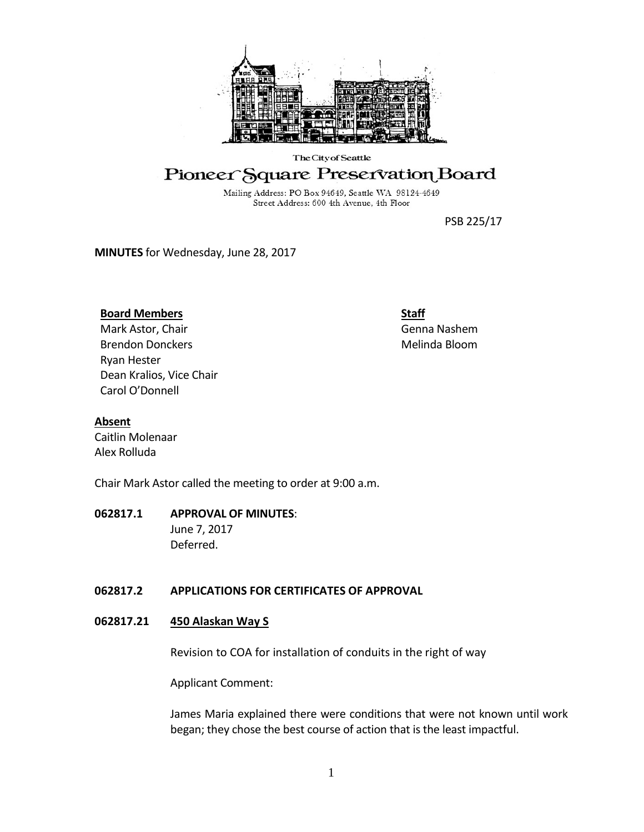

# The City of Seattle

# Pioneer Square Preservation Board

Mailing Address: PO Box 94649, Seattle WA 98124-4649 Street Address: 600 4th Avenue, 4th Floor

PSB 225/17

**MINUTES** for Wednesday, June 28, 2017

## **Board Members**

Mark Astor, Chair Brendon Donckers Ryan Hester Dean Kralios, Vice Chair Carol O'Donnell

# **Staff**

Genna Nashem Melinda Bloom

## **Absent**

Caitlin Molenaar Alex Rolluda

Chair Mark Astor called the meeting to order at 9:00 a.m.

# **062817.1 APPROVAL OF MINUTES**:

June 7, 2017 Deferred.

# **062817.2 APPLICATIONS FOR CERTIFICATES OF APPROVAL**

## **062817.21 450 Alaskan Way S**

Revision to COA for installation of conduits in the right of way

Applicant Comment:

James Maria explained there were conditions that were not known until work began; they chose the best course of action that is the least impactful.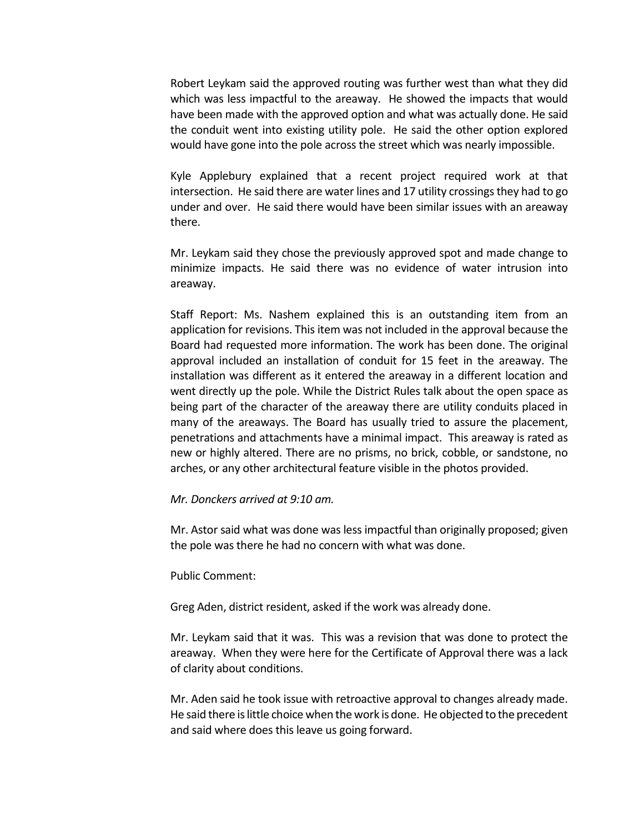Robert Leykam said the approved routing was further west than what they did which was less impactful to the areaway. He showed the impacts that would have been made with the approved option and what was actually done. He said the conduit went into existing utility pole. He said the other option explored would have gone into the pole across the street which was nearly impossible.

Kyle Applebury explained that a recent project required work at that intersection. He said there are water lines and 17 utility crossings they had to go under and over. He said there would have been similar issues with an areaway there.

Mr. Leykam said they chose the previously approved spot and made change to minimize impacts. He said there was no evidence of water intrusion into areaway.

Staff Report: Ms. Nashem explained this is an outstanding item from an application for revisions. This item was not included in the approval because the Board had requested more information. The work has been done. The original approval included an installation of conduit for 15 feet in the areaway. The installation was different as it entered the areaway in a different location and went directly up the pole. While the District Rules talk about the open space as being part of the character of the areaway there are utility conduits placed in many of the areaways. The Board has usually tried to assure the placement, penetrations and attachments have a minimal impact. This areaway is rated as new or highly altered. There are no prisms, no brick, cobble, or sandstone, no arches, or any other architectural feature visible in the photos provided.

### *Mr. Donckers arrived at 9:10 am.*

Mr. Astor said what was done was less impactful than originally proposed; given the pole was there he had no concern with what was done.

#### Public Comment:

Greg Aden, district resident, asked if the work was already done.

Mr. Leykam said that it was. This was a revision that was done to protect the areaway. When they were here for the Certificate of Approval there was a lack of clarity about conditions.

Mr. Aden said he took issue with retroactive approval to changes already made. He said there is little choice when the work is done. He objected to the precedent and said where does this leave us going forward.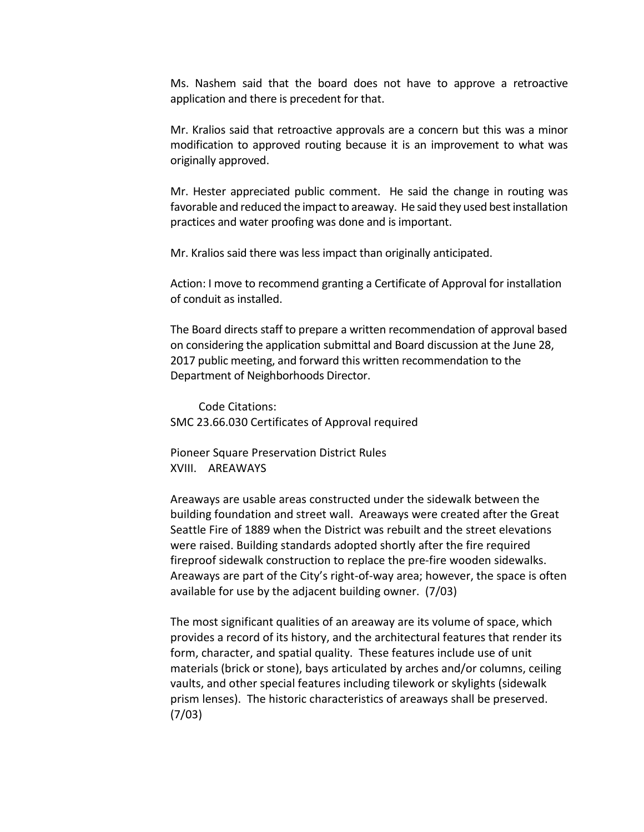Ms. Nashem said that the board does not have to approve a retroactive application and there is precedent for that.

Mr. Kralios said that retroactive approvals are a concern but this was a minor modification to approved routing because it is an improvement to what was originally approved.

Mr. Hester appreciated public comment. He said the change in routing was favorable and reduced the impact to areaway. He said they used best installation practices and water proofing was done and is important.

Mr. Kralios said there was less impact than originally anticipated.

Action: I move to recommend granting a Certificate of Approval for installation of conduit as installed.

The Board directs staff to prepare a written recommendation of approval based on considering the application submittal and Board discussion at the June 28, 2017 public meeting, and forward this written recommendation to the Department of Neighborhoods Director.

Code Citations: SMC 23.66.030 Certificates of Approval required

Pioneer Square Preservation District Rules XVIII. AREAWAYS

Areaways are usable areas constructed under the sidewalk between the building foundation and street wall. Areaways were created after the Great Seattle Fire of 1889 when the District was rebuilt and the street elevations were raised. Building standards adopted shortly after the fire required fireproof sidewalk construction to replace the pre-fire wooden sidewalks. Areaways are part of the City's right-of-way area; however, the space is often available for use by the adjacent building owner. (7/03)

The most significant qualities of an areaway are its volume of space, which provides a record of its history, and the architectural features that render its form, character, and spatial quality. These features include use of unit materials (brick or stone), bays articulated by arches and/or columns, ceiling vaults, and other special features including tilework or skylights (sidewalk prism lenses). The historic characteristics of areaways shall be preserved. (7/03)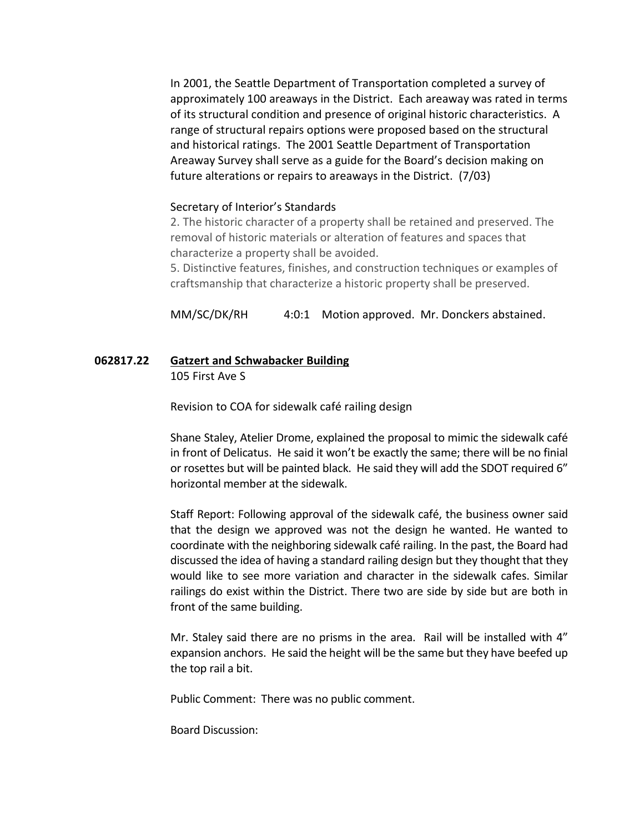In 2001, the Seattle Department of Transportation completed a survey of approximately 100 areaways in the District. Each areaway was rated in terms of its structural condition and presence of original historic characteristics. A range of structural repairs options were proposed based on the structural and historical ratings. The 2001 Seattle Department of Transportation Areaway Survey shall serve as a guide for the Board's decision making on future alterations or repairs to areaways in the District. (7/03)

### Secretary of Interior's Standards

2. The historic character of a property shall be retained and preserved. The removal of historic materials or alteration of features and spaces that characterize a property shall be avoided.

5. Distinctive features, finishes, and construction techniques or examples of craftsmanship that characterize a historic property shall be preserved.

MM/SC/DK/RH 4:0:1 Motion approved. Mr. Donckers abstained.

# **062817.22 Gatzert and Schwabacker Building**

105 First Ave S

Revision to COA for sidewalk café railing design

Shane Staley, Atelier Drome, explained the proposal to mimic the sidewalk café in front of Delicatus. He said it won't be exactly the same; there will be no finial or rosettes but will be painted black. He said they will add the SDOT required 6" horizontal member at the sidewalk.

Staff Report: Following approval of the sidewalk café, the business owner said that the design we approved was not the design he wanted. He wanted to coordinate with the neighboring sidewalk café railing. In the past, the Board had discussed the idea of having a standard railing design but they thought that they would like to see more variation and character in the sidewalk cafes. Similar railings do exist within the District. There two are side by side but are both in front of the same building.

Mr. Staley said there are no prisms in the area. Rail will be installed with 4" expansion anchors. He said the height will be the same but they have beefed up the top rail a bit.

Public Comment: There was no public comment.

Board Discussion: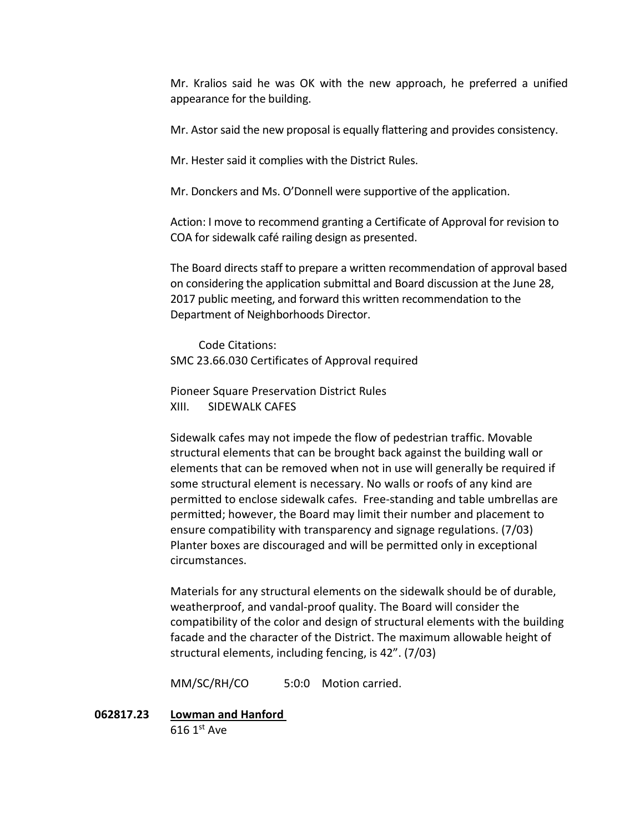Mr. Kralios said he was OK with the new approach, he preferred a unified appearance for the building.

Mr. Astor said the new proposal is equally flattering and provides consistency.

Mr. Hester said it complies with the District Rules.

Mr. Donckers and Ms. O'Donnell were supportive of the application.

Action: I move to recommend granting a Certificate of Approval for revision to COA for sidewalk café railing design as presented.

The Board directs staff to prepare a written recommendation of approval based on considering the application submittal and Board discussion at the June 28, 2017 public meeting, and forward this written recommendation to the Department of Neighborhoods Director.

Code Citations: SMC 23.66.030 Certificates of Approval required

Pioneer Square Preservation District Rules XIII. SIDEWALK CAFES

Sidewalk cafes may not impede the flow of pedestrian traffic. Movable structural elements that can be brought back against the building wall or elements that can be removed when not in use will generally be required if some structural element is necessary. No walls or roofs of any kind are permitted to enclose sidewalk cafes. Free-standing and table umbrellas are permitted; however, the Board may limit their number and placement to ensure compatibility with transparency and signage regulations. (7/03) Planter boxes are discouraged and will be permitted only in exceptional circumstances.

Materials for any structural elements on the sidewalk should be of durable, weatherproof, and vandal-proof quality. The Board will consider the compatibility of the color and design of structural elements with the building facade and the character of the District. The maximum allowable height of structural elements, including fencing, is 42". (7/03)

MM/SC/RH/CO 5:0:0 Motion carried.

**062817.23 Lowman and Hanford**   $616$  1st Ave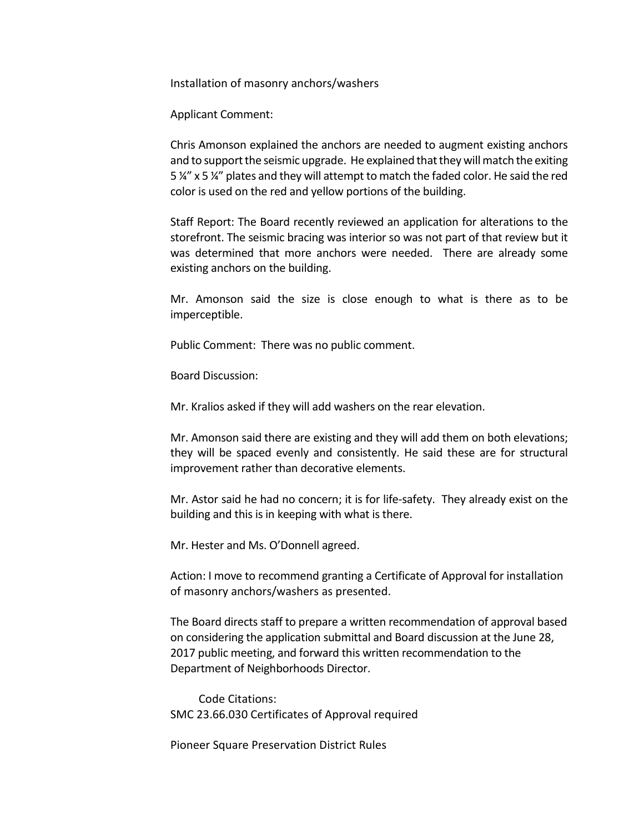Installation of masonry anchors/washers

Applicant Comment:

Chris Amonson explained the anchors are needed to augment existing anchors and to support the seismic upgrade. He explained that they will match the exiting 5 ¼" x 5 ¼" plates and they will attempt to match the faded color. He said the red color is used on the red and yellow portions of the building.

Staff Report: The Board recently reviewed an application for alterations to the storefront. The seismic bracing was interior so was not part of that review but it was determined that more anchors were needed. There are already some existing anchors on the building.

Mr. Amonson said the size is close enough to what is there as to be imperceptible.

Public Comment: There was no public comment.

Board Discussion:

Mr. Kralios asked if they will add washers on the rear elevation.

Mr. Amonson said there are existing and they will add them on both elevations; they will be spaced evenly and consistently. He said these are for structural improvement rather than decorative elements.

Mr. Astor said he had no concern; it is for life-safety. They already exist on the building and this is in keeping with what is there.

Mr. Hester and Ms. O'Donnell agreed.

Action: I move to recommend granting a Certificate of Approval for installation of masonry anchors/washers as presented.

The Board directs staff to prepare a written recommendation of approval based on considering the application submittal and Board discussion at the June 28, 2017 public meeting, and forward this written recommendation to the Department of Neighborhoods Director.

Code Citations: SMC 23.66.030 Certificates of Approval required

Pioneer Square Preservation District Rules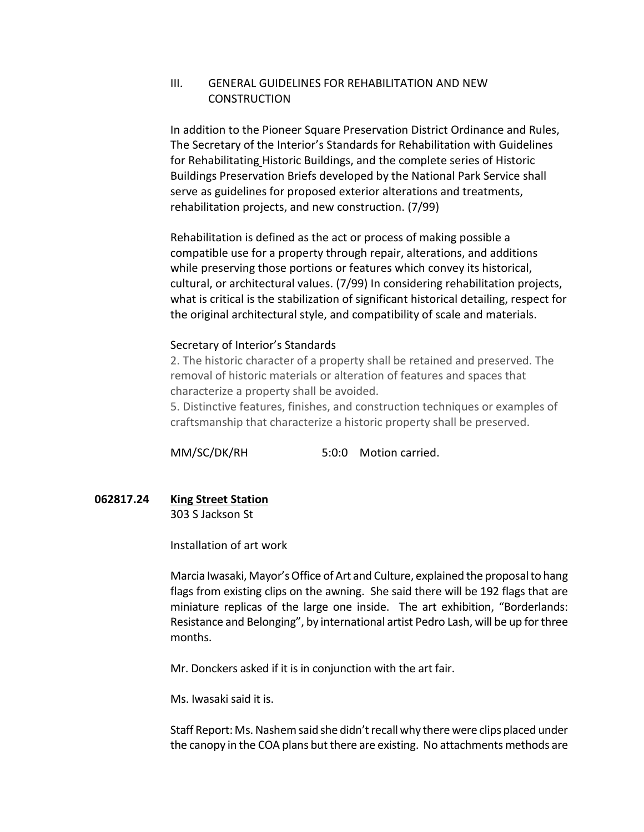## III. GENERAL GUIDELINES FOR REHABILITATION AND NEW **CONSTRUCTION**

In addition to the Pioneer Square Preservation District Ordinance and Rules, The Secretary of the Interior's Standards for Rehabilitation with Guidelines for Rehabilitating Historic Buildings, and the complete series of Historic Buildings Preservation Briefs developed by the National Park Service shall serve as guidelines for proposed exterior alterations and treatments, rehabilitation projects, and new construction. (7/99)

Rehabilitation is defined as the act or process of making possible a compatible use for a property through repair, alterations, and additions while preserving those portions or features which convey its historical, cultural, or architectural values. (7/99) In considering rehabilitation projects, what is critical is the stabilization of significant historical detailing, respect for the original architectural style, and compatibility of scale and materials.

### Secretary of Interior's Standards

2. The historic character of a property shall be retained and preserved. The removal of historic materials or alteration of features and spaces that characterize a property shall be avoided.

5. Distinctive features, finishes, and construction techniques or examples of craftsmanship that characterize a historic property shall be preserved.

MM/SC/DK/RH 5:0:0 Motion carried.

# **062817.24 King Street Station**

303 S Jackson St

Installation of art work

Marcia Iwasaki, Mayor's Office of Art and Culture, explained the proposal to hang flags from existing clips on the awning. She said there will be 192 flags that are miniature replicas of the large one inside. The art exhibition, "Borderlands: Resistance and Belonging", by international artist Pedro Lash, will be up for three months.

Mr. Donckers asked if it is in conjunction with the art fair.

Ms. Iwasaki said it is.

Staff Report: Ms. Nashem said she didn't recall why there were clips placed under the canopy in the COA plans but there are existing. No attachments methods are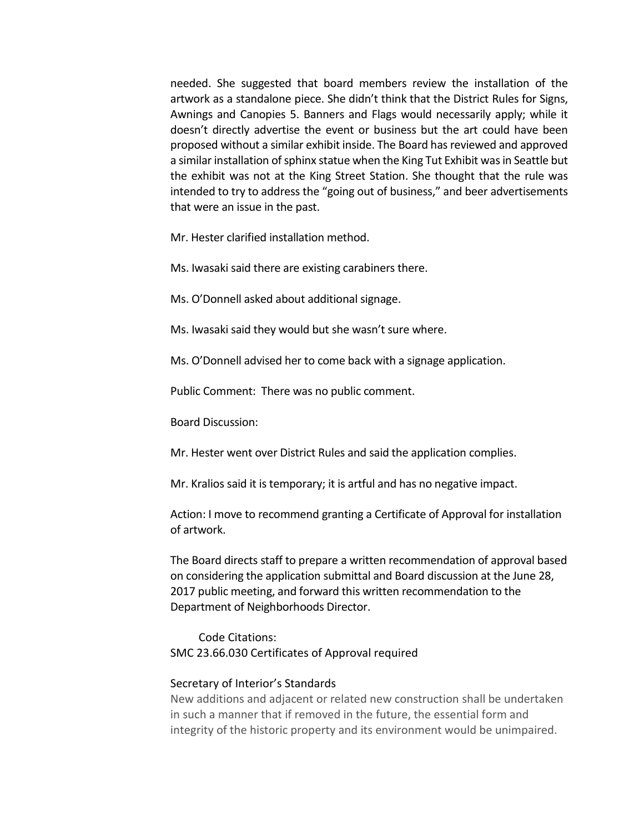needed. She suggested that board members review the installation of the artwork as a standalone piece. She didn't think that the District Rules for Signs, Awnings and Canopies 5. Banners and Flags would necessarily apply; while it doesn't directly advertise the event or business but the art could have been proposed without a similar exhibit inside. The Board has reviewed and approved a similar installation of sphinx statue when the King Tut Exhibit was in Seattle but the exhibit was not at the King Street Station. She thought that the rule was intended to try to address the "going out of business," and beer advertisements that were an issue in the past.

Mr. Hester clarified installation method.

Ms. Iwasaki said there are existing carabiners there.

Ms. O'Donnell asked about additional signage.

Ms. Iwasaki said they would but she wasn't sure where.

Ms. O'Donnell advised her to come back with a signage application.

Public Comment: There was no public comment.

Board Discussion:

Mr. Hester went over District Rules and said the application complies.

Mr. Kralios said it is temporary; it is artful and has no negative impact.

Action: I move to recommend granting a Certificate of Approval for installation of artwork.

The Board directs staff to prepare a written recommendation of approval based on considering the application submittal and Board discussion at the June 28, 2017 public meeting, and forward this written recommendation to the Department of Neighborhoods Director.

Code Citations: SMC 23.66.030 Certificates of Approval required

#### Secretary of Interior's Standards

New additions and adjacent or related new construction shall be undertaken in such a manner that if removed in the future, the essential form and integrity of the historic property and its environment would be unimpaired.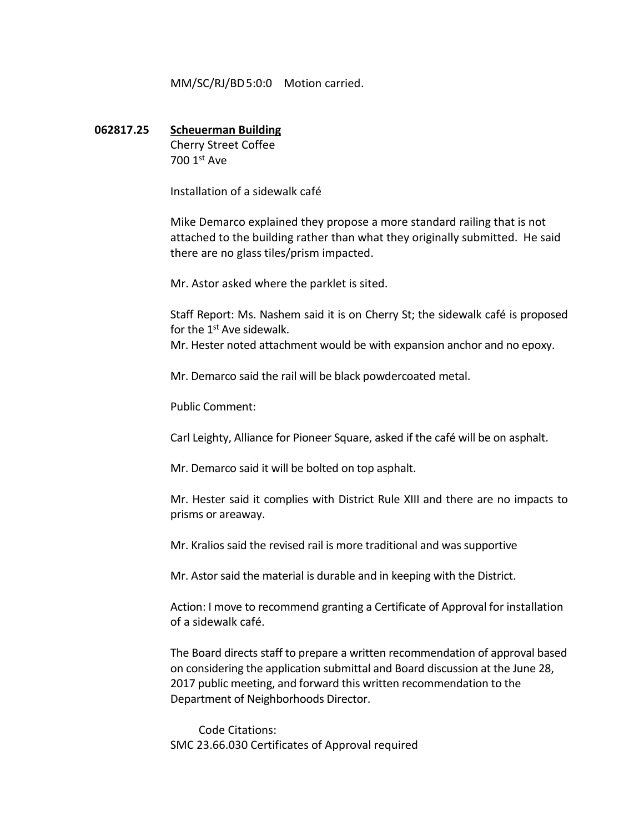MM/SC/RJ/BD5:0:0 Motion carried.

# **062817.25 Scheuerman Building** Cherry Street Coffee

700 1st Ave

Installation of a sidewalk café

Mike Demarco explained they propose a more standard railing that is not attached to the building rather than what they originally submitted. He said there are no glass tiles/prism impacted.

Mr. Astor asked where the parklet is sited.

Staff Report: Ms. Nashem said it is on Cherry St; the sidewalk café is proposed for the 1<sup>st</sup> Ave sidewalk.

Mr. Hester noted attachment would be with expansion anchor and no epoxy.

Mr. Demarco said the rail will be black powdercoated metal.

Public Comment:

Carl Leighty, Alliance for Pioneer Square, asked if the café will be on asphalt.

Mr. Demarco said it will be bolted on top asphalt.

Mr. Hester said it complies with District Rule XIII and there are no impacts to prisms or areaway.

Mr. Kralios said the revised rail is more traditional and was supportive

Mr. Astor said the material is durable and in keeping with the District.

Action: I move to recommend granting a Certificate of Approval for installation of a sidewalk café.

The Board directs staff to prepare a written recommendation of approval based on considering the application submittal and Board discussion at the June 28, 2017 public meeting, and forward this written recommendation to the Department of Neighborhoods Director.

Code Citations: SMC 23.66.030 Certificates of Approval required